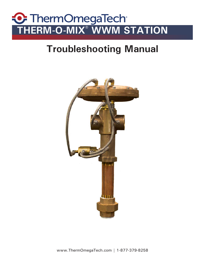# **THERM-O-MIX® WWM STATION**

# **Troubleshooting Manual**

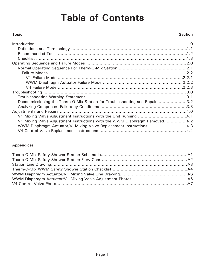# **Table of Contents**

#### **Topic**

#### **Section**

| Decommissioning the Therm-O-Mix Station for Troubleshooting and Repairs3.2 |  |
|----------------------------------------------------------------------------|--|
|                                                                            |  |
|                                                                            |  |
|                                                                            |  |
| V1 Mixing Valve Adjustment Instructions with the WWM Diaphragm Removed4.2  |  |
| WWM Diaphragm Actuator/VI Mixing Valve Replacement Instructions 4.3        |  |
|                                                                            |  |

#### **Appendices**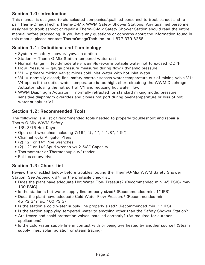#### **Section 1.0: Introduction**

This manual is designed to aid selected companies/qualified personnel to troubleshoot and repair Therm-OmegaTech's Therm-O-Mix WWM Safety Shower Stations. Any qualified personnel assigned to troubleshoot or repair a Therm-O-Mix Safety Shower Station should read the entire manual before proceeding. If you have any questions or concerns about the information found in this manual please contact ThermOmegaTech Inc. at 1-877-379-8258.

#### **Section 1.1: Definitions and Terminology**

- System = safety shower/eyewash station
- Station = Therm-O-Mix Station tempered water unit
- Normal Range = tepid/moderately warm/lukewarm potable water not to exceed lOO°F
- Flow Pressure = gauge pressure measured during flow ( dynamic pressure)
- V1 = primary mixing valve; mixes cold inlet water with hot inlet water
- $\sqrt{4}$  = normally closed; final safety control; senses water temperature out of mixing valve V1; V4 opens if the outlet water temperature is too high, short circuiting the WWM Diaphragm Actuator, closing the hot port of V1 and reducing hot water flow
- WWM Diaphragm Actuator = normally retracted for standard mixing mode; pressure sensitive diaphragm overrides and closes hot port during over-temperature or loss of hot water supply at V1

#### **Section 1.2: Recommended Tools**

The following is a list of recommended tools needed to properly troubleshoot and repair a Therm-O-Mix WWM Safety

- 1/8, 3/16 Hex Keys
- Open-end wrenches including  $7/16$ ",  $\frac{1}{2}$ , 1", 1-1/8", 1 $\frac{1}{2}$ ")
- Channel lock/ Alligator Pliers
- (2) 12" or 14" Pipe wrenches
- (2) 12" or 14" Spud wrench w/ 2-5/8" Capacity
- Thermometer or Thermocouple w/ reader
- Phillips screwdriver

#### **Section 1.3: Check List**

Review the checklist below before troubleshooting the Therm-O-Mix WWM Safety Shower Station. See Appendix #4 for the printable checklist.

- Does the plant have adequate Hot Water Flow Pressure? (Recommended min. 45 PSIG/ max. 100 PSIG)
- Is the station's hot water supply line properly sized? (Recommended min. 1" IPS)
- Does the plant have adequate Cold Water Flow Pressure? (Recommended min. 45 PSIG/ max. 100 PSIG)
- Is the station's cold water supply line properly sized? (Recommended min. 1" IPS)
- Is the station supplying tempered water to anything other than the Safety Shower Station?
- Are freeze and scald protection valves installed correctly? (As required for outdoor applications)
- Is the cold water supply line in contact with or being overheated by another source? (Steam supply lines, solar radiation or steam tracing)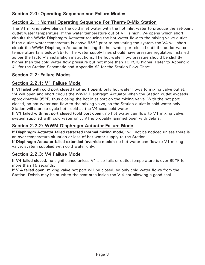#### **Section 2.0: Operating Sequence and Failure Modes**

#### **Section 2.1: Normal Operating Sequence For Therm-O-Mix Station**

The V1 mixing valve blends the cold inlet water with the hot inlet water to produce the set-point outlet water temperature. If the water temperature out of V1 is high, V4 opens which short circuits the WWM Diaphragm Actuator reducing the hot water flow to the mixing valve outlet. If the outlet water temperature is above  $95^{\circ}$ F prior to activating the system the V4 will short circuit the WWM Diaphragm Actuator holding the hot water port closed until the outlet water temperature falls below 85°F. The water supply lines should have pressure regulators installed as per the factory's installation instructions. The hot water flow pressure should be slightly higher than the cold water flow pressure but not more than 10 PSIG higher. Refer to Appendix #1 for the Station Schematic and Appendix #2 for the Station Flow Chart.

#### **Section 2.2: Failure Modes**

#### **Section 2.2.1: V1 Failure Mode**

**If Vl failed with cold port closed (hot port open)**: only hot water flows to mixing valve outlet. V4 will open and short circuit the WWM Diaphragm Actuator when the Station outlet exceeds approximately 95°F, thus closing the hot inlet port on the mixing valve. With the hot port closed, no hot water can flow to the mixing valve, so the Station outlet is cold water only. Station will start to cycle hot - cold as the V4 sees cold water.

**If V1 failed with hot port closed (cold port open)**: no hot water can flow to V1 mixing valve; system supplied with cold water only. V1 is probably jammed open with debris.

#### **Section 2.2.2: WWM Diaphragm Actuator Failure Mode**

**If Diaphragm Actuator failed retracted (normal mixing mode)**: will not be noticed unless there is an over-temperature situation or loss of hot water supply to the Station.

**If Diaphragm Actuator failed extended (override mode)**: no hot water can flow to V1 mixing valve; system supplied with cold water only.

#### **Section 2.2.3: V4 Failure Mode**

**If V4 failed closed**: no significance unless V1 also fails or outlet temperature is over 95°F for more than 15 seconds.

**If V 4 failed open**: mixing valve hot port will be closed, so only cold water flows from the Station. Debris may be stuck to the seat area inside the V 4 not allowing a good seal.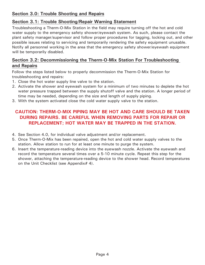#### **Section 3.0: Trouble Shooting and Repairs**

#### **Section 3.1: Trouble Shooting/Repair Warning Statement**

Troubleshooting a Therm-O-Mix Station in the field may require turning off the hot and cold water supply to the emergency safety shower/eyewash system. As such, please contact the plant safety manager/supervisor and follow proper procedures for tagging, locking out, and other possible issues relating to servicing and temporarily rendering the safety equipment unusable. Notify all personnel working in the area that the emergency safety shower/eyewash equipment will be temporarily disabled.

#### **Section 3.2: Decommissioning the Therm-O-Mix Station For Troubleshooting and Repairs**

Follow the steps listed below to properly decommission the Therm-O-Mix Station for troubleshooting and repairs:

- 1. Close the hot water supply line valve to the station.
- 2. Activate the shower and eyewash system for a minimum of two minutes to deplete the hot water pressure trapped between the supply shutoff valve and the station. A longer period of time may be needed, depending on the size and length of supply piping.
- 3. With the system activated close the cold water supply valve to the station.

#### **CAUTION: THERM-O-MIX PIPING MAY BE HOT AND CARE SHOULD BE TAKEN DURING REPAIRS. BE CAREFUL WHEN REMOVING PARTS FOR REPAIR OR REPLACEMENT; HOT WATER MAY BE TRAPPED IN THE STATION.**

- 4. See Section 4.0, for individual valve adjustment and/or replacement.
- 5. Once Therm-O-Mix has been repaired, open the hot and cold water supply valves to the station. Allow station to run for at least one minute to purge the system.
- 6. Insert the temperature-reading device into the eyewash nozzle. Activate the eyewash and record the temperature several times over a 5-10 minute cycle. Repeat this step for the shower, attaching the temperature-reading device to the shower head. Record temperatures on the Unit Checklist (see Appendix# 4).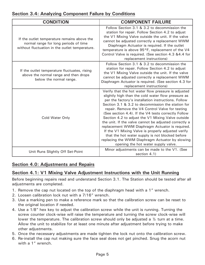|  | <b>Section 3.4: Analyzing Component Failure by Conditions</b> |
|--|---------------------------------------------------------------|
|--|---------------------------------------------------------------|

| <b>CONDITION</b>                                                                                                                       | <b>COMPONENT FAILURE</b>                                                                                                                                                                                                                                                                                                                                                                                                                                                                                                                                                                                                                                                                            |  |  |
|----------------------------------------------------------------------------------------------------------------------------------------|-----------------------------------------------------------------------------------------------------------------------------------------------------------------------------------------------------------------------------------------------------------------------------------------------------------------------------------------------------------------------------------------------------------------------------------------------------------------------------------------------------------------------------------------------------------------------------------------------------------------------------------------------------------------------------------------------------|--|--|
| If the outlet temperature remains above the<br>normal range for long periods of time<br>without fluctuation in the outlet temperature. | Follow Section 3.1 & 3.2 to decommission the<br>station for repair. Follow Section 4.2 to adjust<br>the V1 Mixing Valve outside the unit. If the valve<br>cannot be adjusted correctly a replacement WWM<br>Diaphragm Actuator is required. If the outlet<br>temperature is above 95°F, replacement of the V4<br>Control Valve is required. (See section 4.3 &4.4 for<br>replacement instructions)                                                                                                                                                                                                                                                                                                  |  |  |
| If the outlet temperature fluctuates, rising<br>above the normal range and then drops<br>below the normal range.                       | Follow Section 3.1 & 3.2 to decommission the<br>station for repair. Follow Section 4.2 to adjust<br>the V1 Mixing Valve outside the unit. If the valve<br>cannot be adjusted correctly a replacement WWM<br>Diaphragm Actuator is required. (See section 4.3 for<br>replacement instructions)                                                                                                                                                                                                                                                                                                                                                                                                       |  |  |
| Cold Water Only                                                                                                                        | Verify that the hot water flow pressure is adjusted<br>slightly high than the cold water flow pressure as<br>per the factory's installation instructions. Follow<br>Section 3.1 & 3.2 to decommission the station for<br>repair. Remove the V4 Control Valve for testing<br>(See section 4.4). If the V4 tests correctly Follow<br>Section 4.2 to adjust the V1 Mixing Valve outside<br>the unit. If the valve cannot be adjusted correctly a<br>replacement WWM Diaphragm Actuator is required.<br>If the V1 Mixing Valve is properly adjusted verify<br>that the hot water supply is not blocked before<br>replacing the WWM Diaphragm Actuator by slowing<br>opening the hot water supply valve. |  |  |
| Unit Runs Slightly Off Set-Point                                                                                                       | Minor adjustments can be made to the V1. (See<br>section 4.1)                                                                                                                                                                                                                                                                                                                                                                                                                                                                                                                                                                                                                                       |  |  |

#### **Section 4.0: Adjustments and Repairs**

#### **Section 4.1: V1 Mixing Valve Adjustment Instructions with the Unit Running**

Before beginning repairs read and understand Section 3.1. The Station should be tested after all adjustments are completed.

- 1. Remove the cap nut located on the top of the diaphragm head with a 1" wrench.
- 2. Loosen calibration lock nut with a 7/16" wrench.
- 3. Use a marking pen to make a reference mark so that the calibration screw can be reset to the original location if needed.
- 4. Use a 1/8" hex key to adjust the calibration screw while the unit is running. Turning the screw counter clock-wise will raise the temperature and turning the screw clock-wise will lower the temperature. The calibration screw should only be adjusted a  $\frac{1}{2}$  turn at a time. Allow the unit to stabilize for at least one minute after adjustment before trying to make other adjustments.
- 5. Once the necessary adjustments are made tighten the lock nut onto the calibration screw.
- 6. Re-install the cap nut making sure the face seal does not get pinched. Snug the acorn nut with a 1" wrench.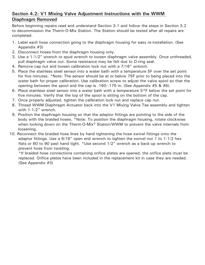#### **Section 4.2: V1 Mixing Valve Adjustment Instructions with the WWM Diaphragm Removed**

Before beginning repairs read and understand Section 3.1 and follow the steps in Section 3.2 to decommission the Therm-O-Mix Station. The Station should be tested after all repairs are completed.

- 1. Label each hose connection going to the diaphragm housing for easy re-installation. (See Appendix #3)
- 2. Disconnect hoses from the diaphragm housing only.
- 3. Use a 1-1/2" wrench or spud wrench to loosen diaphragm valve assembly. Once unthreaded, pull diaphragm valve out. Some resistance may be felt due to O-ring seal.
- 4. Remove cap nut and loosen calibration lock nut with a 7/16" wrench.
- 5. Place the stainless steel sensor into a water bath with a temperature 5F over the set point for five minutes. \*Note: The sensor should be at or below 75F prior to being placed into the water bath for proper calibration. Use calibration screw to adjust the valve spool so that the opening between the spool and the cap is .160-.175 in. (See Appendix #5 & #6).
- 6. Place stainless steel sensor into a water bath with a temperature 5°F below the set point for five minutes. Verify that the top of the spool is sitting on the bottom of the cap.
- 7. Once properly adjusted, tighten the calibration lock nut and replace cap nut.
- 8. Thread WWM Diaphragm Actuator back into the V1 Mixing Valve Tee assembly and tighten with 1-1/2" wrench.
- 9. Position the diaphragm housing so that the adaptor fittings are pointing to the side of the body with the braided hoses. \*Note: To position the diaphragm housing, rotate clockwise when looking down on the Therm-O-Mix<sup>®</sup> Station/WWM to prevent the valve internals from loosening.
- 10. Reconnect the braided hose lines by hand tightening the hose swivel fittings onto the adaptor fittings. Use a 9/16" open end wrench to tighten the swivel nut 1 to 1-1/2 hex flats or 60 to 90 past hand tight. \*Use second 1/2" wrench as a back-up wrench to prevent hose from twisting.

\*If braided hose connections containing orifice plates are opened, the orifice plate must be replaced. Orifice plates have been included in the replacement kit in case they are needed. (See Appendix #3)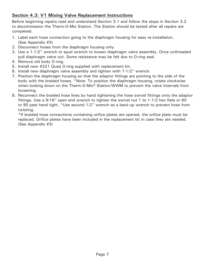#### **Section 4.3: V1 Mixing Valve Replacement Instructions**

Before beginning repairs read and understand Section 3.1 and follow the steps in Section 3.2 to decommission the Therm-O-Mix Station. The Station should be tested after all repairs are completed.

- 1. Label each hose connection going to the diaphragm housing for easy re-installation. (See Appendix #3)
- 2. Disconnect hoses from the diaphragm housing only.
- 3. Use a 1-1/2" wrench or spud wrench to loosen diaphragm valve assembly. Once unthreaded pull diaphragm valve out. Some resistance may be felt due to O-ring seal.
- 4. Remove old body O-ring.
- 5. Install new #221 Quad O-ring supplied with replacement kit.
- 6. Install new diaphragm valve assembly and tighten with 1-1/2" wrench.
- 7. Position the diaphragm housing so that the adaptor fittings are pointing to the side of the body with the braided hoses. \*Note: To position the diaphragm housing, rotate clockwise when looking down on the Therm-O-Mix<sup>®</sup> Station/WWM to prevent the valve internals from loosening.
- 8. Reconnect the braided hose lines by hand tightening the hose swivel fittings onto the adaptor fittings. Use a 9/16" open end wrench to tighten the swivel nut 1 to 1-1/2 hex flats or 60 to 90 past hand tight. \*Use second 1/2" wrench as a back-up wrench to prevent hose from twisting.

\*If braided hose connections containing orifice plates are opened, the orifice plate must be replaced. Orifice plates have been included in the replacement kit in case they are needed. (See Appendix #3)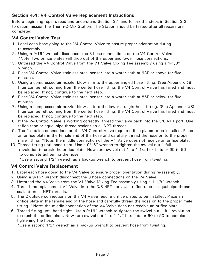#### **Section 4.4: V4 Control Valve Replacement Instructions**

Before beginning repairs read and understand Section 3.1 and follow the steps in Section 3.2 to decommission the Therm-O-Mix Station. The Station should be tested after all repairs are completed.

#### **V4 Control Valve Test**

- 1. Label each hose going to the V4 Control Valve to ensure proper orientation during re-assembly.
- 2. Using a 9/16" wrench disconnect the 3 hose connections on the V4 Control Valve. \*Note: two orifice plates will drop out of the upper and lower hose connections.
- 3. Unthread the V4 Control Valve from the V1 Valve Mixing Tee assembly using a 1-1/8" wrench.
- 4. Place V4 Control Valve stainless steel sensor into a water bath at 98F or above for five minutes.
- 5. Using a compressed air nozzle, blow air into the upper angled hose fitting. (See Appendix #8) If air can be felt coming from the center hose fitting, the V4 Control Valve has failed and must be replaced. If not, continue to the next step.
- 6. Place V4 Control Valve stainless steel sensor into a water bath at 85F or below for five minutes.
- 7. Using a compressed air nozzle, blow air into the lower straight hose fitting. (See Appendix #8) If air can be felt coming from the center hose fitting, the V4 Control Valve has failed and must be replaced. If not, continue to the next step.
- 8. If the V4 Control Valve is working correctly, thread the valve back into the 3/8 NPT port. Use teflon tape or equal pipe thread sealant on all NPT threads.
- 9. The 2 outside connections on the V4 Control Valve require orifice plates to be installed. Place an orifice plate in the female end of the hose and carefully thread the hose on to the proper male fitting. \*Note: the middle connection of the V4 Valve does not receive an orifice plate.
- 10. Thread fitting until hand tight. Use a 9/16" wrench to tighten the swivel nut 1 full revolution to crush the orifice plate. Now turn swivel nut 1 to 1-1/2 hex flats or 60 to 90 to complete tightening the hose.

\*Use a second 1/2" wrench as a backup wrench to prevent hose from twisting.

#### **V4 Control Valve Replacement**

- 1. Label each hose going to the V4 Valve to ensure proper orientation during re-assembly.
- 2. Using a 9/16" wrench disconnect the 3 hose connections on the V4 Valve.
- 3. Unthread the V4 Valve from the V1 Valve Mixing Tee assembly using a 1-1/8" wrench.
- 4. Thread the replacement V4 Valve into the 3/8 NPT port. Use teflon tape or equal pipe thread sealant on all NPT threads.
- 5. The 2 outside connections on the V4 Valve require orifice plates to be installed. Place an orifice plate in the female end of the hose and carefully thread the hose on to the proper male fitting. \*Note: the middle connection of the V4 Valve does not receive an orifice plate.
- 6. Thread fitting until hand tight. Use a 9/16" wrench to tighten the swivel nut 1 full revolution to crush the orifice plate. Now turn swivel nut 1 to 1-1/2 hex flats or 60 to 90 to complete tightening the hose.

\*Use a second 1/2" wrench as a backup wrench to prevent hose from twisting.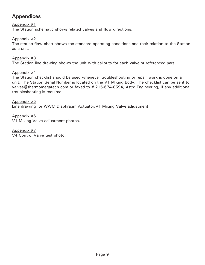# **Appendices**

Appendix #1

The Station schematic shows related valves and flow directions.

Appendix #2

The station flow chart shows the standard operating conditions and their relation to the Station as a unit.

Appendix #3 The Station line drawing shows the unit with callouts for each valve or referenced part.

Appendix #4

The Station checklist should be used whenever troubleshooting or repair work is done on a unit. The Station Serial Number is located on the V1 Mixing Body. The checklist can be sent to valves@thermomegatech.com or faxed to # 215-674-8594, Attn: Engineering, if any additional troubleshooting is required.

Appendix #5 Line drawing for WWM Diaphragm Actuator/V1 Mixing Valve adjustment.

Appendix #6 V1 Mixing Valve adjustment photos.

Appendix #7 V4 Control Valve test photo.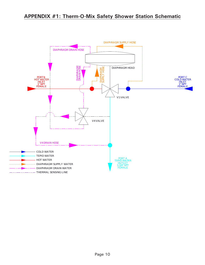# **APPENDIX #1: Therm-O-Mix Safety Shower Station Schematic**

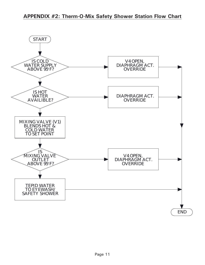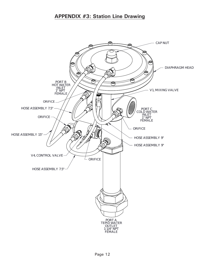## **APPENDIX #3: Station Line Drawing**

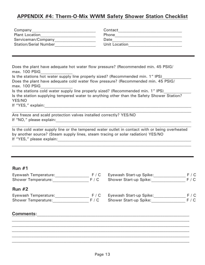## **APPENDIX #4: Therm-O-Mix WWM Safety Shower Station Checklist**

| Company                      | Contact       |
|------------------------------|---------------|
| <b>Plant Location</b>        | <b>Phone</b>  |
| Serviceman/Company           | Date          |
| <b>Station/Serial Number</b> | Unit Location |

Does the plant have adequate hot water flow pressure? (Recommended min. 45 PSIG/ max. 100 PSIG Is the stations hot water supply line properly sized? (Recommended min. 1" IPS) Does the plant have adequate cold water flow pressure? (Recommended min. 45 PSIG/ max. 100 PSIG

Is the stations cold water supply line properly sized? (Recommended min. 1" IPS) Is the station supplying tempered water to anything other than the Safety Shower Station? YES/NO

If "YES," explain:\_\_\_\_\_\_\_\_\_\_\_\_\_\_\_\_\_\_\_\_\_\_\_\_\_\_\_\_\_\_\_\_\_\_\_\_\_\_\_\_\_\_\_\_\_\_\_\_\_\_\_\_\_\_\_\_\_\_\_\_\_\_\_\_\_\_\_\_\_\_\_\_\_\_

Are freeze and scald protection valves installed correctly? YES/NO If "NO," please explain:\_\_\_\_\_\_\_\_\_\_\_\_\_\_\_\_\_\_\_\_\_\_\_\_\_\_\_\_\_\_\_\_\_\_\_\_\_\_\_\_\_\_\_\_\_\_\_\_\_\_\_\_\_\_\_\_\_\_\_\_\_\_\_\_\_\_\_\_

Is the cold water supply line or the tempered water outlet in contact with or being overheated by another source? (Steam supply lines, steam tracing or solar radiation) YES/NO If "YES," please explain:

 $\mathcal{L}_\mathcal{L} = \mathcal{L}_\mathcal{L} = \mathcal{L}_\mathcal{L} = \mathcal{L}_\mathcal{L} = \mathcal{L}_\mathcal{L} = \mathcal{L}_\mathcal{L} = \mathcal{L}_\mathcal{L} = \mathcal{L}_\mathcal{L} = \mathcal{L}_\mathcal{L} = \mathcal{L}_\mathcal{L} = \mathcal{L}_\mathcal{L} = \mathcal{L}_\mathcal{L} = \mathcal{L}_\mathcal{L} = \mathcal{L}_\mathcal{L} = \mathcal{L}_\mathcal{L} = \mathcal{L}_\mathcal{L} = \mathcal{L}_\mathcal{L}$ 

#### **Run #1**

| F / C |                               | F / C                   |
|-------|-------------------------------|-------------------------|
| F / C | Shower Start-up Spike:        | F / C                   |
|       |                               |                         |
| F / C | Eyewash Start-up Spike:       | F / C                   |
| F / C | <b>Shower Start-up Spike:</b> | F / C                   |
|       |                               |                         |
|       |                               |                         |
|       |                               | Eyewash Start-up Spike: |

 $\mathcal{L}_\mathcal{L} = \{ \mathcal{L}_\mathcal{L} = \{ \mathcal{L}_\mathcal{L} = \{ \mathcal{L}_\mathcal{L} = \{ \mathcal{L}_\mathcal{L} = \{ \mathcal{L}_\mathcal{L} = \{ \mathcal{L}_\mathcal{L} = \{ \mathcal{L}_\mathcal{L} = \{ \mathcal{L}_\mathcal{L} = \{ \mathcal{L}_\mathcal{L} = \{ \mathcal{L}_\mathcal{L} = \{ \mathcal{L}_\mathcal{L} = \{ \mathcal{L}_\mathcal{L} = \{ \mathcal{L}_\mathcal{L} = \{ \mathcal{L}_\mathcal{$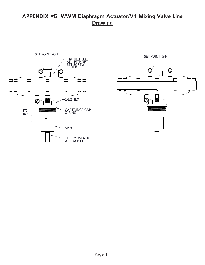# **APPENDIX #5: WWM Diaphragm Actuator/V1 Mixing Valve Line Drawing**



SET POINT -5°F

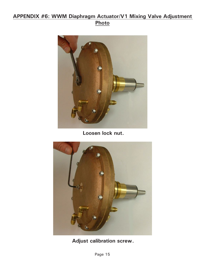# **APPENDIX #6: WWM Diaphragm Actuator/V1 Mixing Valve Adjustment Photo**



**Loosen lock nut.**



**Adjust calibration screw.**